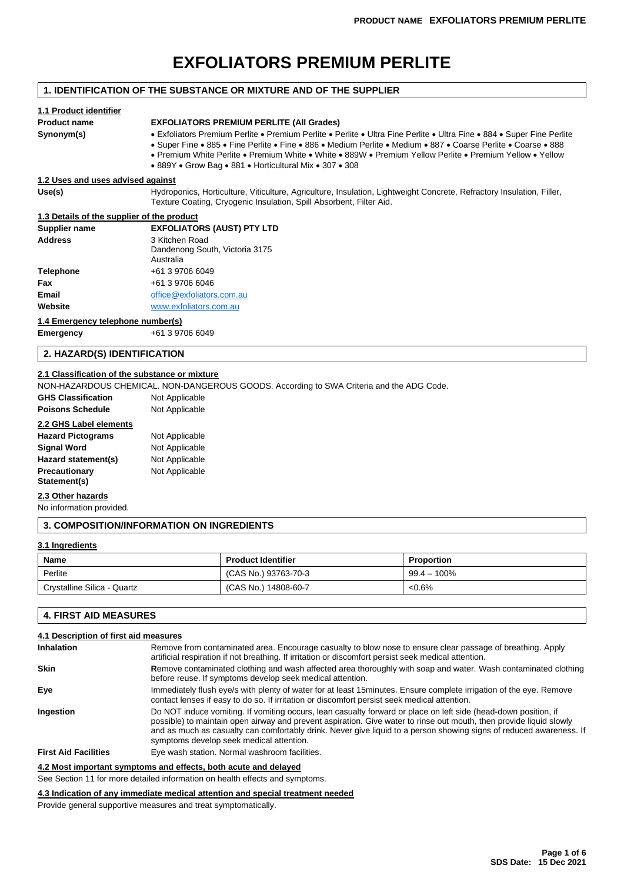# **EXFOLIATORS PREMIUM PERLITE**

# **1. IDENTIFICATION OF THE SUBSTANCE OR MIXTURE AND OF THE SUPPLIER**

# **1.1 Product identifier Product name EXFOLIATORS PREMIUM PERLITE (All Grades) Synonym(s)** • Exfoliators Premium Perlite • Premium Perlite • Perlite • Ultra Fine Perlite • Ultra Fine • 884 • Super Fine Perlite • Super Fine • 885 • Fine Perlite • Fine • 886 • Medium Perlite • Medium • 887 • Coarse Perlite • Coarse • 888 • Premium White Perlite • Premium White • White • 889W • Premium Yellow Perlite • Premium Yellow • Yellow • 889Y • Grow Bag • 881 • Horticultural Mix • 307 • 308 **1.2 Uses and uses advised against Use(s)** Hydroponics, Horticulture, Viticulture, Agriculture, Insulation, Lightweight Concrete, Refractory Insulation, Filler, Texture Coating, Cryogenic Insulation, Spill Absorbent, Filter Aid. **1.3 Details of the supplier of the product Supplier name EXFOLIATORS (AUST) PTY LTD Address** 3 Kitchen Road Dandenong South, Victoria 3175 Australia

| Telephone | +61 3 9706 6049           |
|-----------|---------------------------|
| Fax       | +61 3 9706 6046           |
| Email     | office@exfoliators.com.au |
| Website   | www.exfoliators.com.au    |

#### **1.4 Emergency telephone number(s)**

**Emergency** +61 3 9706 6049

# **2. HAZARD(S) IDENTIFICATION**

# **2.1 Classification of the substance or mixture**

NON-HAZARDOUS CHEMICAL. NON-DANGEROUS GOODS. According to SWA Criteria and the ADG Code.

| <b>GHS Classification</b> | Not Applicable |
|---------------------------|----------------|
| <b>Poisons Schedule</b>   | Not Applicable |

#### **2.2 GHS Label elements**

| <b>Hazard Pictograms</b>      | Not Applicable |
|-------------------------------|----------------|
| <b>Signal Word</b>            | Not Applicable |
| Hazard statement(s)           | Not Applicable |
| Precautionary<br>Statement(s) | Not Applicable |

#### **2.3 Other hazards**

No information provided.

#### **3. COMPOSITION/INFORMATION ON INGREDIENTS**

## **3.1 Ingredients**

| Name                        | <b>Product Identifier</b> | <b>Proportion</b> |
|-----------------------------|---------------------------|-------------------|
| Perlite                     | (CAS No.) 93763-70-3      | $99.4 - 100\%$    |
| Crystalline Silica - Quartz | (CAS No.) 14808-60-7      | $<0.6\%$          |

# **4. FIRST AID MEASURES**

# **4.1 Description of first aid measures Inhalation** Remove from contaminated area. Encourage casualty to blow nose to ensure clear passage of breathing. Apply artificial respiration if not breathing. If irritation or discomfort persist seek medical attention. **Skin Remove contaminated clothing and wash affected area thoroughly with soap and water. Wash contaminated clothing** before reuse. If symptoms develop seek medical attention. **Eye Immediately flush eye/s with plenty of water for at least 15minutes. Ensure complete irrigation of the eye. Remove** contact lenses if easy to do so. If irritation or discomfort persist seek medical attention. **Ingestion** Do NOT induce vomiting. If vomiting occurs, lean casualty forward or place on left side (head-down position, if possible) to maintain open airway and prevent aspiration. Give water to rinse out mouth, then provide liquid slowly and as much as casualty can comfortably drink. Never give liquid to a person showing signs of reduced awareness. If symptoms develop seek medical attention. **First Aid Facilities** Eye wash station. Normal washroom facilities.

# **4.2 Most important symptoms and effects, both acute and delayed**

See Section 11 for more detailed information on health effects and symptoms.

**4.3 Indication of any immediate medical attention and special treatment needed**

Provide general supportive measures and treat symptomatically.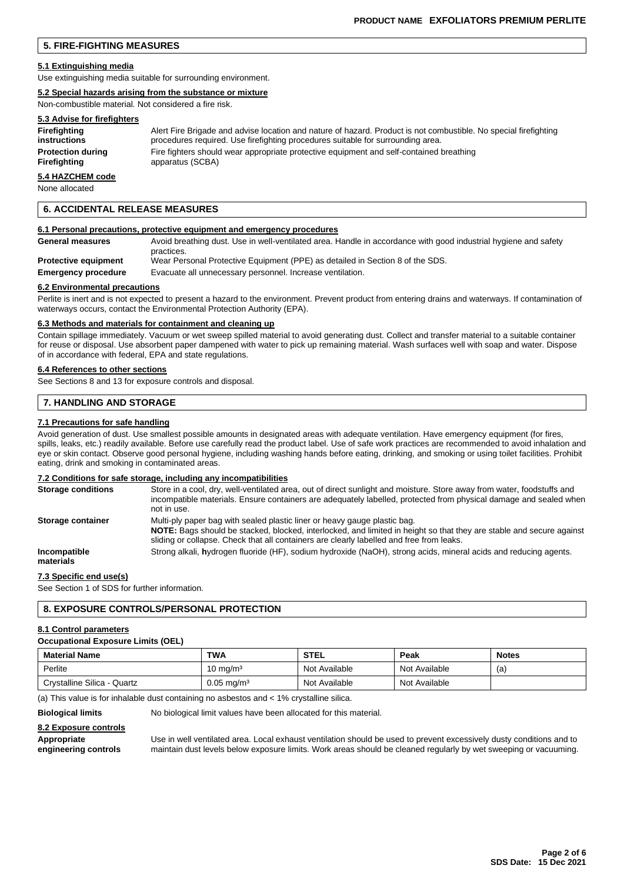# **5. FIRE-FIGHTING MEASURES**

#### **5.1 Extinguishing media**

Use extinguishing media suitable for surrounding environment.

#### **5.2 Special hazards arising from the substance or mixture**

Non-combustible material. Not considered a fire risk.

# **5.3 Advise for firefighters**

| Firefighting             | Alert Fire Brigade and advise location and nature of hazard. Product is not combustible. No special firefighting |
|--------------------------|------------------------------------------------------------------------------------------------------------------|
| instructions             | procedures required. Use firefighting procedures suitable for surrounding area.                                  |
| <b>Protection during</b> | Fire fighters should wear appropriate protective equipment and self-contained breathing                          |
| Firefighting             | apparatus (SCBA)                                                                                                 |

# **5.4 HAZCHEM code**

None allocated

# **6. ACCIDENTAL RELEASE MEASURES**

#### **6.1 Personal precautions, protective equipment and emergency procedures**

| General measures            | Avoid breathing dust. Use in well-ventilated area. Handle in accordance with good industrial hygiene and safety<br>practices. |
|-----------------------------|-------------------------------------------------------------------------------------------------------------------------------|
| <b>Protective equipment</b> | Wear Personal Protective Equipment (PPE) as detailed in Section 8 of the SDS.                                                 |
| <b>Emergency procedure</b>  | Evacuate all unnecessary personnel. Increase ventilation.                                                                     |

#### **6.2 Environmental precautions**

Perlite is inert and is not expected to present a hazard to the environment. Prevent product from entering drains and waterways. If contamination of waterways occurs, contact the Environmental Protection Authority (EPA).

#### **6.3 Methods and materials for containment and cleaning up**

Contain spillage immediately. Vacuum or wet sweep spilled material to avoid generating dust. Collect and transfer material to a suitable container for reuse or disposal. Use absorbent paper dampened with water to pick up remaining material. Wash surfaces well with soap and water. Dispose of in accordance with federal, EPA and state regulations.

#### **6.4 References to other sections**

See Sections 8 and 13 for exposure controls and disposal.

# **7. HANDLING AND STORAGE**

#### **7.1 Precautions for safe handling**

Avoid generation of dust. Use smallest possible amounts in designated areas with adequate ventilation. Have emergency equipment (for fires, spills, leaks, etc.) readily available. Before use carefully read the product label. Use of safe work practices are recommended to avoid inhalation and eye or skin contact. Observe good personal hygiene, including washing hands before eating, drinking, and smoking or using toilet facilities. Prohibit eating, drink and smoking in contaminated areas.

## **7.2 Conditions for safe storage, including any incompatibilities**

| <b>Storage conditions</b> | Store in a cool, dry, well-ventilated area, out of direct sunlight and moisture. Store away from water, foodstuffs and<br>incompatible materials. Ensure containers are adequately labelled, protected from physical damage and sealed when<br>not in use.                                    |
|---------------------------|-----------------------------------------------------------------------------------------------------------------------------------------------------------------------------------------------------------------------------------------------------------------------------------------------|
| Storage container         | Multi-ply paper bag with sealed plastic liner or heavy gauge plastic bag.<br>NOTE: Bags should be stacked, blocked, interlocked, and limited in height so that they are stable and secure against<br>sliding or collapse. Check that all containers are clearly labelled and free from leaks. |
| Incompatible<br>materials | Strong alkali, hydrogen fluoride (HF), sodium hydroxide (NaOH), strong acids, mineral acids and reducing agents.                                                                                                                                                                              |

## **7.3 Specific end use(s)**

See Section 1 of SDS for further information.

# **8. EXPOSURE CONTROLS/PERSONAL PROTECTION**

#### **8.1 Control parameters**

#### **Occupational Exposure Limits (OEL)**

| <b>Material Name</b>        | <b>TWA</b>            | <b>STEL</b>   | Peak          | <b>Notes</b> |
|-----------------------------|-----------------------|---------------|---------------|--------------|
| Perlite                     | 10 mg/mª              | Not Available | Not Available | (a)          |
| Crystalline Silica - Quartz | $0.05 \text{ mg/m}^3$ | Not Available | Not Available |              |

(a) This value is for inhalable dust containing no asbestos and < 1% crystalline silica.

**Biological limits** No biological limit values have been allocated for this material.

#### **8.2 Exposure controls**

**Appropriate** Use in well ventilated area. Local exhaust ventilation should be used to prevent excessively dusty conditions and to **engineering controls** maintain dust levels below exposure limits. Work areas should be cleaned regularly by wet sweeping or vacuuming.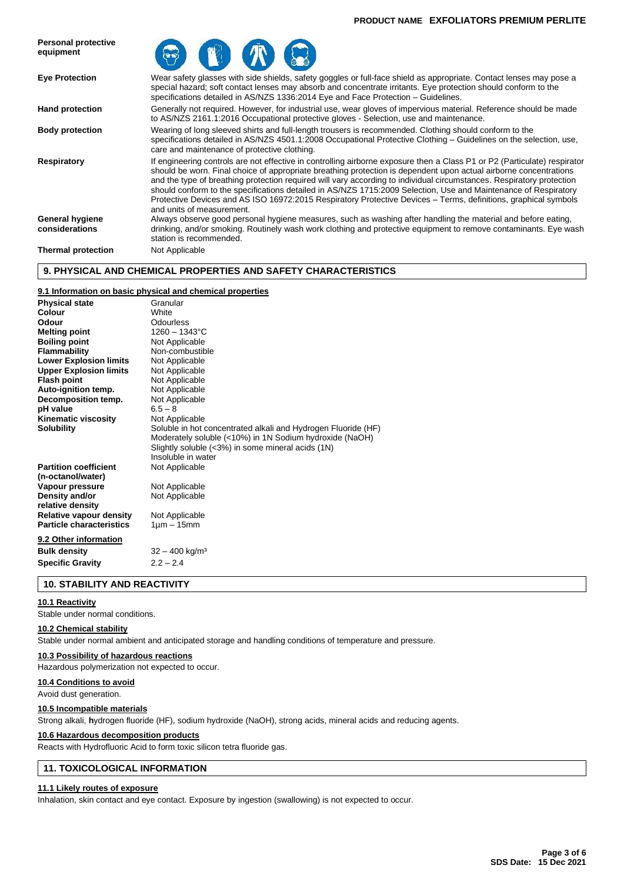## **PRODUCT NAME EXFOLIATORS PREMIUM PERLITE**



# **9. PHYSICAL AND CHEMICAL PROPERTIES AND SAFETY CHARACTERISTICS**

# **9.1 Information on basic physical and chemical properties**

| Soluble in hot concentrated alkali and Hydrogen Fluoride (HF) |
|---------------------------------------------------------------|
| Moderately soluble (<10%) in 1N Sodium hydroxide (NaOH)       |
|                                                               |
|                                                               |
|                                                               |
|                                                               |
|                                                               |
|                                                               |
|                                                               |
|                                                               |
|                                                               |
|                                                               |
|                                                               |
|                                                               |
|                                                               |

# **10. STABILITY AND REACTIVITY**

# **10.1 Reactivity**

Stable under normal conditions.

#### **10.2 Chemical stability**

Stable under normal ambient and anticipated storage and handling conditions of temperature and pressure.

#### **10.3 Possibility of hazardous reactions**

Hazardous polymerization not expected to occur.

#### **10.4 Conditions to avoid**

Avoid dust generation.

#### **10.5 Incompatible materials**

Strong alkali, **h**ydrogen fluoride (HF), sodium hydroxide (NaOH), strong acids, mineral acids and reducing agents.

#### **10.6 Hazardous decomposition products**

Reacts with Hydrofluoric Acid to form toxic silicon tetra fluoride gas.

# **11. TOXICOLOGICAL INFORMATION**

#### **11.1 Likely routes of exposure**

Inhalation, skin contact and eye contact. Exposure by ingestion (swallowing) is not expected to occur.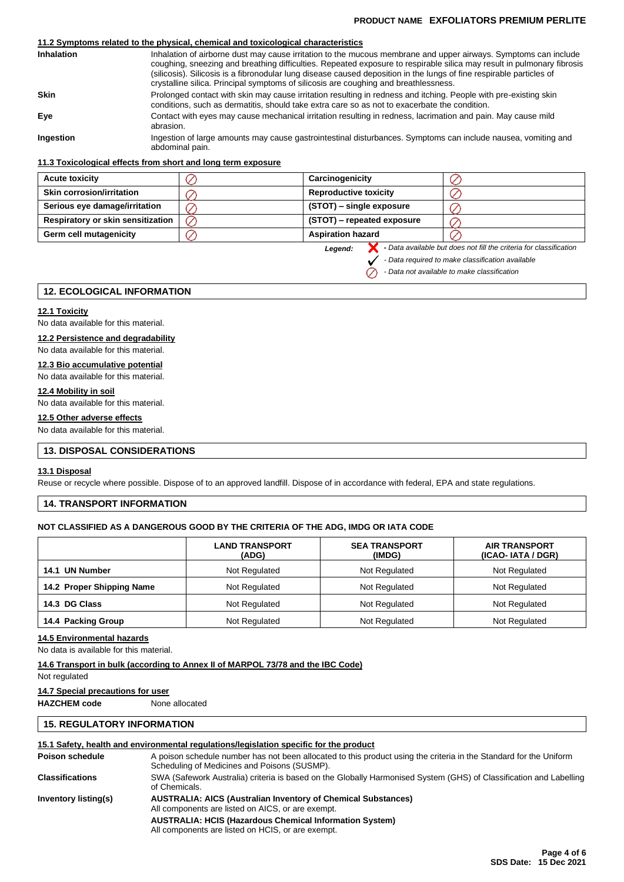# **PRODUCT NAME EXFOLIATORS PREMIUM PERLITE**

# **11.2 Symptoms related to the physical, chemical and toxicological characteristics**

| <b>Inhalation</b> | Inhalation of airborne dust may cause irritation to the mucous membrane and upper airways. Symptoms can include<br>coughing, sneezing and breathing difficulties. Repeated exposure to respirable silica may result in pulmonary fibrosis<br>(silicosis). Silicosis is a fibronodular lung disease caused deposition in the lungs of fine respirable particles of<br>crystalline silica. Principal symptoms of silicosis are coughing and breathlessness. |
|-------------------|-----------------------------------------------------------------------------------------------------------------------------------------------------------------------------------------------------------------------------------------------------------------------------------------------------------------------------------------------------------------------------------------------------------------------------------------------------------|
| <b>Skin</b>       | Prolonged contact with skin may cause irritation resulting in redness and itching. People with pre-existing skin<br>conditions, such as dermatitis, should take extra care so as not to exacerbate the condition.                                                                                                                                                                                                                                         |
| Eve               | Contact with eyes may cause mechanical irritation resulting in redness, lacrimation and pain. May cause mild<br>abrasion.                                                                                                                                                                                                                                                                                                                                 |
| Ingestion         | Ingestion of large amounts may cause gastrointestinal disturbances. Symptoms can include nausea, vomiting and<br>abdominal pain.                                                                                                                                                                                                                                                                                                                          |

# **11.3 Toxicological effects from short and long term exposure**

| <b>Acute toxicity</b>                    | Carcinogenicity              |  |
|------------------------------------------|------------------------------|--|
| <b>Skin corrosion/irritation</b>         | <b>Reproductive toxicity</b> |  |
| Serious eye damage/irritation            | (STOT) – single exposure     |  |
| <b>Respiratory or skin sensitization</b> | (STOT) – repeated exposure   |  |
| Germ cell mutagenicity                   | <b>Aspiration hazard</b>     |  |

*Legend:*

**-** *Data available but does not fill the criteria for classification*

*- Data required to make classification available*

*- Data not available to make classification* $\oslash$ 

# **12. ECOLOGICAL INFORMATION**

## **12.1 Toxicity**

No data available for this material.

# **12.2 Persistence and degradability**

No data available for this material.

# **12.3 Bio accumulative potential**

No data available for this material.

# **12.4 Mobility in soil**

No data available for this material.

# **12.5 Other adverse effects**

No data available for this material.

# **13. DISPOSAL CONSIDERATIONS**

#### **13.1 Disposal**

Reuse or recycle where possible. Dispose of to an approved landfill. Dispose of in accordance with federal, EPA and state regulations.

# **14. TRANSPORT INFORMATION**

## **NOT CLASSIFIED AS A DANGEROUS GOOD BY THE CRITERIA OF THE ADG, IMDG OR IATA CODE**

|                           | <b>LAND TRANSPORT</b><br>(ADG) | <b>SEA TRANSPORT</b><br>(IMDG) | <b>AIR TRANSPORT</b><br>(ICAO-IATA / DGR) |
|---------------------------|--------------------------------|--------------------------------|-------------------------------------------|
| 14.1 UN Number            | Not Regulated                  | Not Regulated                  | Not Regulated                             |
| 14.2 Proper Shipping Name | Not Regulated                  | Not Regulated                  | Not Regulated                             |
| 14.3 DG Class             | Not Regulated                  | Not Regulated                  | Not Regulated                             |
| 14.4 Packing Group        | Not Regulated                  | Not Regulated                  | Not Regulated                             |

#### **14.5 Environmental hazards**

No data is available for this material.

#### **14.6 Transport in bulk (according to Annex II of MARPOL 73/78 and the IBC Code)**

Not regulated

#### **14.7 Special precautions for user**

**HAZCHEM code** None allocated

# **15. REGULATORY INFORMATION**

# **15.1 Safety, health and environmental regulations/legislation specific for the product**

| Poison schedule        | A poison schedule number has not been allocated to this product using the criteria in the Standard for the Uniform<br>Scheduling of Medicines and Poisons (SUSMP). |  |  |  |  |
|------------------------|--------------------------------------------------------------------------------------------------------------------------------------------------------------------|--|--|--|--|
| <b>Classifications</b> | SWA (Safework Australia) criteria is based on the Globally Harmonised System (GHS) of Classification and Labelling<br>of Chemicals.                                |  |  |  |  |
| Inventory listing(s)   | <b>AUSTRALIA: AICS (Australian Inventory of Chemical Substances)</b><br>All components are listed on AICS, or are exempt.                                          |  |  |  |  |
|                        | <b>AUSTRALIA: HCIS (Hazardous Chemical Information System)</b><br>All components are listed on HCIS, or are exempt.                                                |  |  |  |  |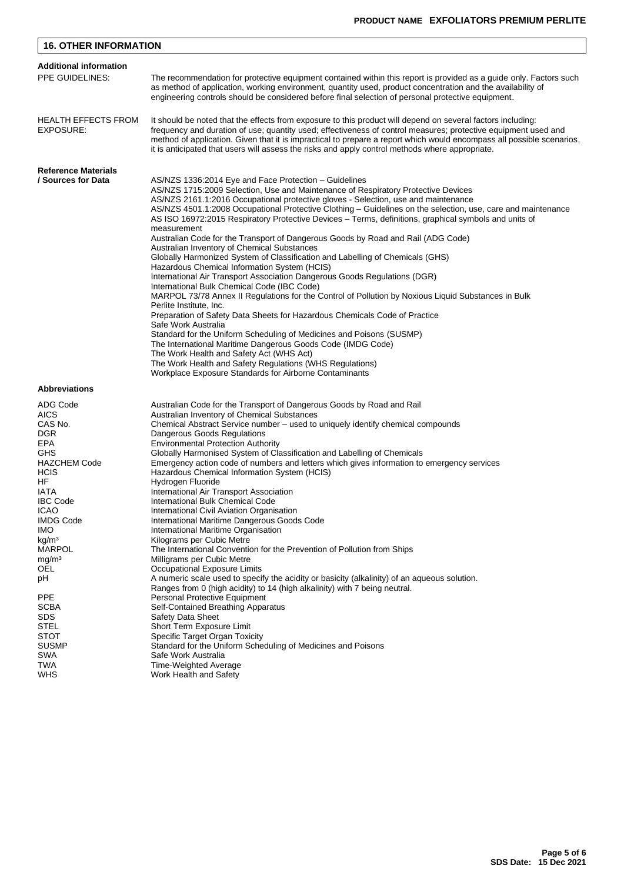| <b>16. OTHER INFORMATION</b>                                                                                                                                                                                                  |                                                                                                                                                                                                                                                                                                                                                                                                                                                                                                                                                                                                                                                                                                                                                                                                                                                                                                                                                                                                                                                                                                                                                                                                                                                                                                                                                                |  |  |  |  |  |  |
|-------------------------------------------------------------------------------------------------------------------------------------------------------------------------------------------------------------------------------|----------------------------------------------------------------------------------------------------------------------------------------------------------------------------------------------------------------------------------------------------------------------------------------------------------------------------------------------------------------------------------------------------------------------------------------------------------------------------------------------------------------------------------------------------------------------------------------------------------------------------------------------------------------------------------------------------------------------------------------------------------------------------------------------------------------------------------------------------------------------------------------------------------------------------------------------------------------------------------------------------------------------------------------------------------------------------------------------------------------------------------------------------------------------------------------------------------------------------------------------------------------------------------------------------------------------------------------------------------------|--|--|--|--|--|--|
| <b>Additional information</b>                                                                                                                                                                                                 |                                                                                                                                                                                                                                                                                                                                                                                                                                                                                                                                                                                                                                                                                                                                                                                                                                                                                                                                                                                                                                                                                                                                                                                                                                                                                                                                                                |  |  |  |  |  |  |
| PPE GUIDELINES:                                                                                                                                                                                                               | The recommendation for protective equipment contained within this report is provided as a guide only. Factors such<br>as method of application, working environment, quantity used, product concentration and the availability of<br>engineering controls should be considered before final selection of personal protective equipment.                                                                                                                                                                                                                                                                                                                                                                                                                                                                                                                                                                                                                                                                                                                                                                                                                                                                                                                                                                                                                        |  |  |  |  |  |  |
| <b>HEALTH EFFECTS FROM</b><br>EXPOSURE:                                                                                                                                                                                       | It should be noted that the effects from exposure to this product will depend on several factors including:<br>frequency and duration of use; quantity used; effectiveness of control measures; protective equipment used and<br>method of application. Given that it is impractical to prepare a report which would encompass all possible scenarios,<br>it is anticipated that users will assess the risks and apply control methods where appropriate.                                                                                                                                                                                                                                                                                                                                                                                                                                                                                                                                                                                                                                                                                                                                                                                                                                                                                                      |  |  |  |  |  |  |
| <b>Reference Materials</b>                                                                                                                                                                                                    |                                                                                                                                                                                                                                                                                                                                                                                                                                                                                                                                                                                                                                                                                                                                                                                                                                                                                                                                                                                                                                                                                                                                                                                                                                                                                                                                                                |  |  |  |  |  |  |
| / Sources for Data                                                                                                                                                                                                            | AS/NZS 1336:2014 Eye and Face Protection - Guidelines<br>AS/NZS 1715:2009 Selection, Use and Maintenance of Respiratory Protective Devices<br>AS/NZS 2161.1:2016 Occupational protective gloves - Selection, use and maintenance<br>AS/NZS 4501.1:2008 Occupational Protective Clothing – Guidelines on the selection, use, care and maintenance<br>AS ISO 16972:2015 Respiratory Protective Devices – Terms, definitions, graphical symbols and units of<br>measurement<br>Australian Code for the Transport of Dangerous Goods by Road and Rail (ADG Code)<br>Australian Inventory of Chemical Substances<br>Globally Harmonized System of Classification and Labelling of Chemicals (GHS)<br>Hazardous Chemical Information System (HCIS)<br>International Air Transport Association Dangerous Goods Regulations (DGR)<br>International Bulk Chemical Code (IBC Code)<br>MARPOL 73/78 Annex II Regulations for the Control of Pollution by Noxious Liquid Substances in Bulk<br>Perlite Institute, Inc.<br>Preparation of Safety Data Sheets for Hazardous Chemicals Code of Practice<br>Safe Work Australia<br>Standard for the Uniform Scheduling of Medicines and Poisons (SUSMP)<br>The International Maritime Dangerous Goods Code (IMDG Code)<br>The Work Health and Safety Act (WHS Act)<br>The Work Health and Safety Regulations (WHS Regulations) |  |  |  |  |  |  |
| <b>Abbreviations</b>                                                                                                                                                                                                          | Workplace Exposure Standards for Airborne Contaminants                                                                                                                                                                                                                                                                                                                                                                                                                                                                                                                                                                                                                                                                                                                                                                                                                                                                                                                                                                                                                                                                                                                                                                                                                                                                                                         |  |  |  |  |  |  |
|                                                                                                                                                                                                                               |                                                                                                                                                                                                                                                                                                                                                                                                                                                                                                                                                                                                                                                                                                                                                                                                                                                                                                                                                                                                                                                                                                                                                                                                                                                                                                                                                                |  |  |  |  |  |  |
| ADG Code<br><b>AICS</b><br>CAS No.<br><b>DGR</b><br><b>EPA</b><br>GHS<br><b>HAZCHEM Code</b><br><b>HCIS</b><br>HF<br>IATA<br><b>IBC Code</b><br><b>ICAO</b><br><b>IMDG Code</b><br>IMO.<br>kg/m <sup>3</sup><br><b>MARPOL</b> | Australian Code for the Transport of Dangerous Goods by Road and Rail<br>Australian Inventory of Chemical Substances<br>Chemical Abstract Service number - used to uniquely identify chemical compounds<br>Dangerous Goods Regulations<br><b>Environmental Protection Authority</b><br>Globally Harmonised System of Classification and Labelling of Chemicals<br>Emergency action code of numbers and letters which gives information to emergency services<br>Hazardous Chemical Information System (HCIS)<br>Hydrogen Fluoride<br>International Air Transport Association<br>International Bulk Chemical Code<br>International Civil Aviation Organisation<br>International Maritime Dangerous Goods Code<br>International Maritime Organisation<br>Kilograms per Cubic Metre<br>The International Convention for the Prevention of Pollution from Ships                                                                                                                                                                                                                                                                                                                                                                                                                                                                                                    |  |  |  |  |  |  |
| mg/m <sup>3</sup>                                                                                                                                                                                                             | Milligrams per Cubic Metre                                                                                                                                                                                                                                                                                                                                                                                                                                                                                                                                                                                                                                                                                                                                                                                                                                                                                                                                                                                                                                                                                                                                                                                                                                                                                                                                     |  |  |  |  |  |  |
| OEL                                                                                                                                                                                                                           | Occupational Exposure Limits                                                                                                                                                                                                                                                                                                                                                                                                                                                                                                                                                                                                                                                                                                                                                                                                                                                                                                                                                                                                                                                                                                                                                                                                                                                                                                                                   |  |  |  |  |  |  |
| рH                                                                                                                                                                                                                            | A numeric scale used to specify the acidity or basicity (alkalinity) of an aqueous solution.<br>Ranges from 0 (high acidity) to 14 (high alkalinity) with 7 being neutral.                                                                                                                                                                                                                                                                                                                                                                                                                                                                                                                                                                                                                                                                                                                                                                                                                                                                                                                                                                                                                                                                                                                                                                                     |  |  |  |  |  |  |
| PPE<br>SCBA<br><b>SDS</b><br><b>STEL</b><br><b>STOT</b><br><b>SUSMP</b><br>SWA<br>TWA<br><b>WHS</b>                                                                                                                           | Personal Protective Equipment<br>Self-Contained Breathing Apparatus<br>Safety Data Sheet<br>Short Term Exposure Limit<br>Specific Target Organ Toxicity<br>Standard for the Uniform Scheduling of Medicines and Poisons<br>Safe Work Australia<br>Time-Weighted Average<br>Work Health and Safety                                                                                                                                                                                                                                                                                                                                                                                                                                                                                                                                                                                                                                                                                                                                                                                                                                                                                                                                                                                                                                                              |  |  |  |  |  |  |